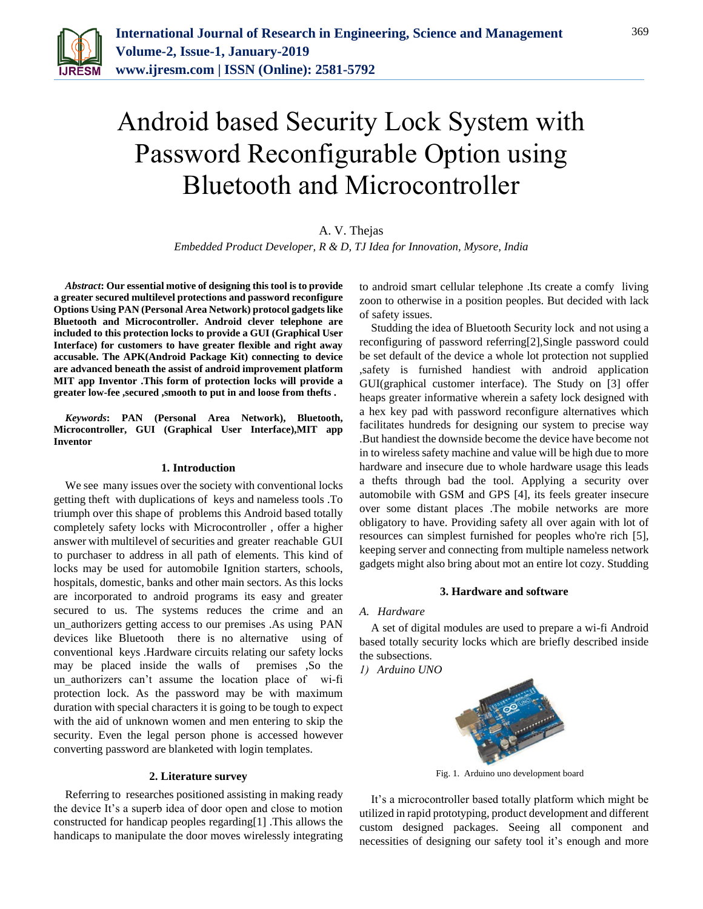

# Android based Security Lock System with Password Reconfigurable Option using Bluetooth and Microcontroller

# A. V. Thejas

*Embedded Product Developer, R & D, TJ Idea for Innovation, Mysore, India*

*Abstract***: Our essential motive of designing this tool is to provide a greater secured multilevel protections and password reconfigure Options Using PAN (Personal Area Network) protocol gadgets like Bluetooth and Microcontroller. Android clever telephone are included to this protection locks to provide a GUI (Graphical User Interface) for customers to have greater flexible and right away accusable. The APK(Android Package Kit) connecting to device are advanced beneath the assist of android improvement platform MIT app Inventor .This form of protection locks will provide a greater low-fee ,secured ,smooth to put in and loose from thefts .**

*Keywords***: PAN (Personal Area Network), Bluetooth, Microcontroller, GUI (Graphical User Interface),MIT app Inventor**

### **1. Introduction**

We see many issues over the society with conventional locks getting theft with duplications of keys and nameless tools .To triumph over this shape of problems this Android based totally completely safety locks with Microcontroller , offer a higher answer with multilevel of securities and greater reachable GUI to purchaser to address in all path of elements. This kind of locks may be used for automobile Ignition starters, schools, hospitals, domestic, banks and other main sectors. As this locks are incorporated to android programs its easy and greater secured to us. The systems reduces the crime and an un\_authorizers getting access to our premises .As using PAN devices like Bluetooth there is no alternative using of conventional keys .Hardware circuits relating our safety locks may be placed inside the walls of premises ,So the un authorizers can't assume the location place of wi-fi protection lock. As the password may be with maximum duration with special characters it is going to be tough to expect with the aid of unknown women and men entering to skip the security. Even the legal person phone is accessed however converting password are blanketed with login templates.

### **2. Literature survey**

Referring to researches positioned assisting in making ready the device It's a superb idea of door open and close to motion constructed for handicap peoples regarding[1] .This allows the handicaps to manipulate the door moves wirelessly integrating to android smart cellular telephone .Its create a comfy living zoon to otherwise in a position peoples. But decided with lack of safety issues.

Studding the idea of Bluetooth Security lock and not using a reconfiguring of password referring[2],Single password could be set default of the device a whole lot protection not supplied ,safety is furnished handiest with android application GUI(graphical customer interface). The Study on [3] offer heaps greater informative wherein a safety lock designed with a hex key pad with password reconfigure alternatives which facilitates hundreds for designing our system to precise way .But handiest the downside become the device have become not in to wireless safety machine and value will be high due to more hardware and insecure due to whole hardware usage this leads a thefts through bad the tool. Applying a security over automobile with GSM and GPS [4], its feels greater insecure over some distant places .The mobile networks are more obligatory to have. Providing safety all over again with lot of resources can simplest furnished for peoples who're rich [5], keeping server and connecting from multiple nameless network gadgets might also bring about mot an entire lot cozy. Studding

#### **3. Hardware and software**

# *A. Hardware*

A set of digital modules are used to prepare a wi-fi Android based totally security locks which are briefly described inside the subsections.

*1) Arduino UNO*



Fig. 1. Arduino uno development board

It's a microcontroller based totally platform which might be utilized in rapid prototyping, product development and different custom designed packages. Seeing all component and necessities of designing our safety tool it's enough and more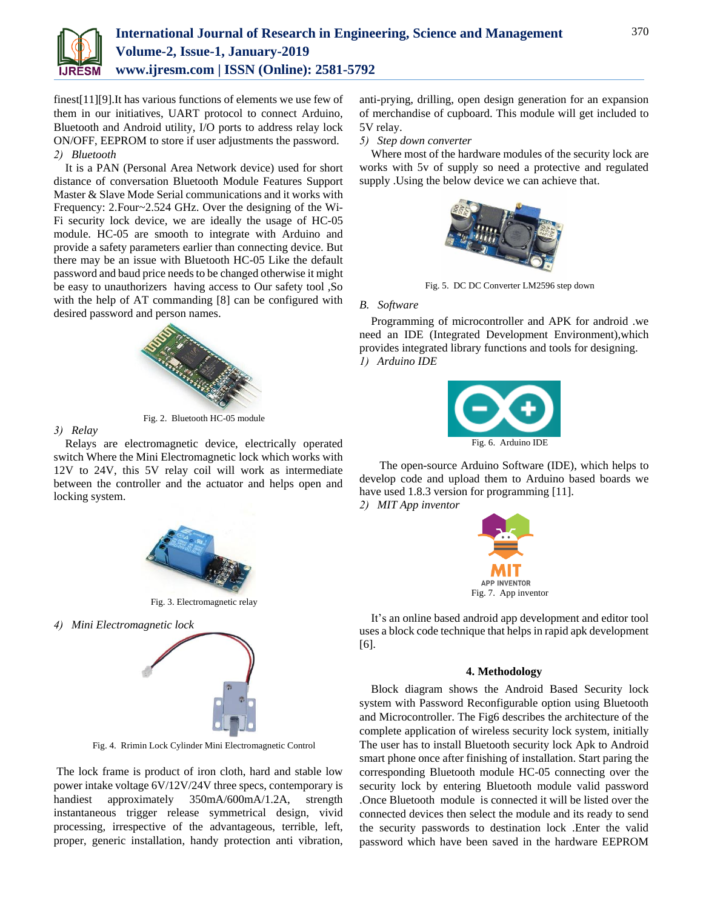

finest[11][9].It has various functions of elements we use few of them in our initiatives, UART protocol to connect Arduino, Bluetooth and Android utility, I/O ports to address relay lock ON/OFF, EEPROM to store if user adjustments the password. *2) Bluetooth*

It is a PAN (Personal Area Network device) used for short distance of conversation Bluetooth Module Features Support Master & Slave Mode Serial communications and it works with Frequency: 2.Four~2.524 GHz. Over the designing of the Wi-Fi security lock device, we are ideally the usage of HC-05 module. HC-05 are smooth to integrate with Arduino and provide a safety parameters earlier than connecting device. But there may be an issue with Bluetooth HC-05 Like the default password and baud price needs to be changed otherwise it might be easy to unauthorizers having access to Our safety tool ,So with the help of AT commanding [8] can be configured with desired password and person names.



Fig. 2. Bluetooth HC-05 module

*3) Relay*

Relays are electromagnetic device, electrically operated switch Where the Mini Electromagnetic lock which works with 12V to 24V, this 5V relay coil will work as intermediate between the controller and the actuator and helps open and locking system.



Fig. 3. Electromagnetic relay

*4) Mini Electromagnetic lock*



Fig. 4. Rrimin Lock Cylinder Mini Electromagnetic Control

The lock frame is product of iron cloth, hard and stable low power intake voltage 6V/12V/24V three specs, contemporary is handiest approximately 350mA/600mA/1.2A, strength instantaneous trigger release symmetrical design, vivid processing, irrespective of the advantageous, terrible, left, proper, generic installation, handy protection anti vibration,

anti-prying, drilling, open design generation for an expansion of merchandise of cupboard. This module will get included to 5V relay.

*5) Step down converter*

Where most of the hardware modules of the security lock are works with 5v of supply so need a protective and regulated supply .Using the below device we can achieve that.



Fig. 5. DC DC Converter LM2596 step down

#### *B. Software*

Programming of microcontroller and APK for android .we need an IDE (Integrated Development Environment),which provides integrated library functions and tools for designing. *1) Arduino IDE*



 The open-source Arduino Software (IDE), which helps to develop code and upload them to Arduino based boards we have used 1.8.3 version for programming [11]. *2) MIT App inventor* 



It's an online based android app development and editor tool uses a block code technique that helps in rapid apk development [6].

#### **4. Methodology**

Block diagram shows the Android Based Security lock system with Password Reconfigurable option using Bluetooth and Microcontroller. The Fig6 describes the architecture of the complete application of wireless security lock system, initially The user has to install Bluetooth security lock Apk to Android smart phone once after finishing of installation. Start paring the corresponding Bluetooth module HC-05 connecting over the security lock by entering Bluetooth module valid password .Once Bluetooth module is connected it will be listed over the connected devices then select the module and its ready to send the security passwords to destination lock .Enter the valid password which have been saved in the hardware EEPROM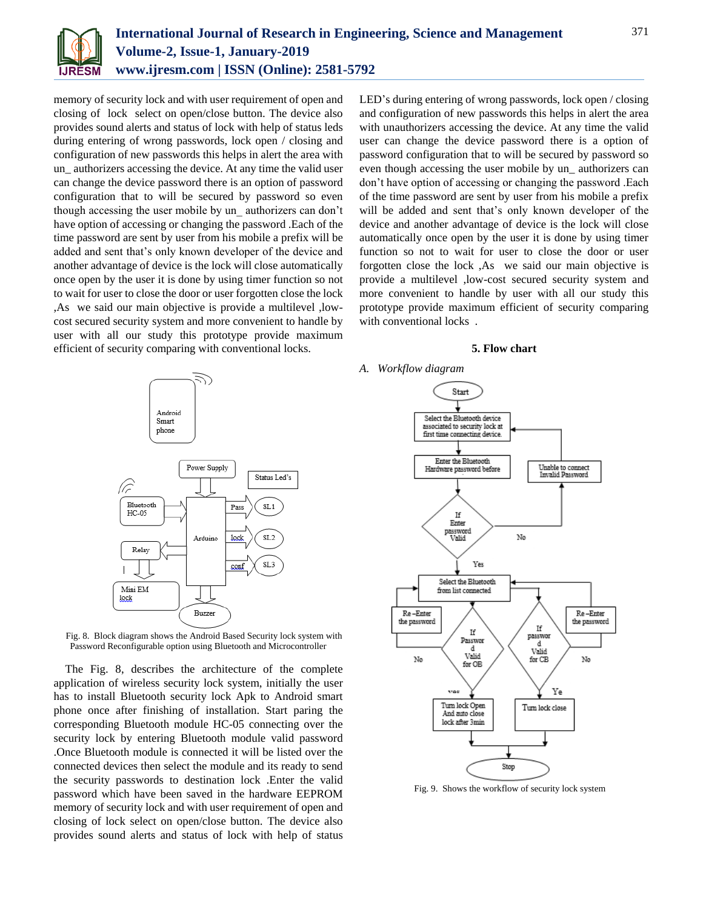

memory of security lock and with user requirement of open and closing of lock select on open/close button. The device also provides sound alerts and status of lock with help of status leds during entering of wrong passwords, lock open / closing and configuration of new passwords this helps in alert the area with un\_ authorizers accessing the device. At any time the valid user can change the device password there is an option of password configuration that to will be secured by password so even though accessing the user mobile by un\_ authorizers can don't have option of accessing or changing the password .Each of the time password are sent by user from his mobile a prefix will be added and sent that's only known developer of the device and another advantage of device is the lock will close automatically once open by the user it is done by using timer function so not to wait for user to close the door or user forgotten close the lock ,As we said our main objective is provide a multilevel ,lowcost secured security system and more convenient to handle by user with all our study this prototype provide maximum efficient of security comparing with conventional locks.

LED's during entering of wrong passwords, lock open / closing and configuration of new passwords this helps in alert the area with unauthorizers accessing the device. At any time the valid user can change the device password there is a option of password configuration that to will be secured by password so even though accessing the user mobile by un\_ authorizers can don't have option of accessing or changing the password .Each of the time password are sent by user from his mobile a prefix will be added and sent that's only known developer of the device and another advantage of device is the lock will close automatically once open by the user it is done by using timer function so not to wait for user to close the door or user forgotten close the lock ,As we said our main objective is provide a multilevel ,low-cost secured security system and more convenient to handle by user with all our study this prototype provide maximum efficient of security comparing with conventional locks.





Fig. 8. Block diagram shows the Android Based Security lock system with Password Reconfigurable option using Bluetooth and Microcontroller

The Fig. 8, describes the architecture of the complete application of wireless security lock system, initially the user has to install Bluetooth security lock Apk to Android smart phone once after finishing of installation. Start paring the corresponding Bluetooth module HC-05 connecting over the security lock by entering Bluetooth module valid password .Once Bluetooth module is connected it will be listed over the connected devices then select the module and its ready to send the security passwords to destination lock .Enter the valid password which have been saved in the hardware EEPROM memory of security lock and with user requirement of open and closing of lock select on open/close button. The device also provides sound alerts and status of lock with help of status





Fig. 9. Shows the workflow of security lock system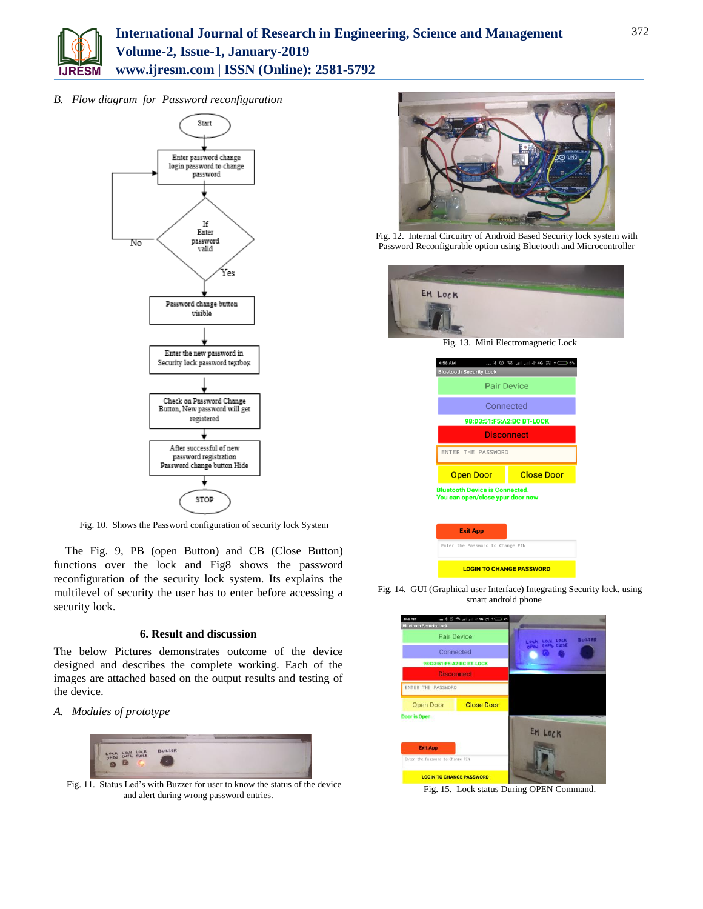

*B. Flow diagram for Password reconfiguration* 



Fig. 10. Shows the Password configuration of security lock System

The Fig. 9, PB (open Button) and CB (Close Button) functions over the lock and Fig8 shows the password reconfiguration of the security lock system. Its explains the multilevel of security the user has to enter before accessing a security lock.

# **6. Result and discussion**

The below Pictures demonstrates outcome of the device designed and describes the complete working. Each of the images are attached based on the output results and testing of the device.

*A. Modules of prototype*



Fig. 11. Status Led's with Buzzer for user to know the status of the device and alert during wrong password entries.



Fig. 12. Internal Circuitry of Android Based Security lock system with Password Reconfigurable option using Bluetooth and Microcontroller



| 4:58 AM                                                                   |  |                   |
|---------------------------------------------------------------------------|--|-------------------|
| <b>Bluetooth Security Lock</b>                                            |  |                   |
| <b>Pair Device</b>                                                        |  |                   |
| Connected                                                                 |  |                   |
| 98:D3:51:F5:A2:BC BT-LOCK                                                 |  |                   |
| <b>Disconnect</b>                                                         |  |                   |
| ENTER THE PASSWORD                                                        |  |                   |
|                                                                           |  |                   |
| <b>Open Door</b>                                                          |  | <b>Close Door</b> |
| <b>Bluetooth Device is Connected.</b><br>You can open/close ypur door now |  |                   |
| <b>Exit App</b>                                                           |  |                   |

**LOGIN TO CHANGE PASSWORD** 

Fig. 14. GUI (Graphical user Interface) Integrating Security lock, using smart android phone



Fig. 15. Lock status During OPEN Command.